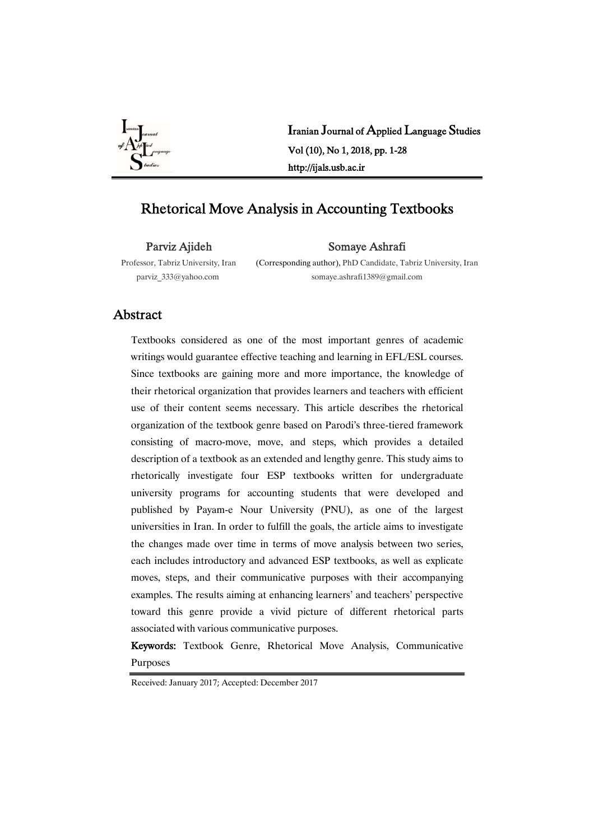

Iranian Journal of Applied Language Studies Vol(10),No1,2018,pp.1-28 http://ijals.usb.ac.ir

# Rhetorical Move Analysis in Accounting Textbooks

Parviz Ajideh

Somaye Ashrafi

Professor, Tabriz University, Iran parviz\_333@yahoo.com

(Corresponding author), PhD Candidate, Tabriz University, Iran somaye.ashrafi1389@gmail.com

# Abstract

Textbooks considered as one of the most important genres of academic writings would guarantee effective teaching and learning in EFL/ESL courses. Since textbooks are gaining more and more importance, the knowledge of their rhetorical organization that provides learners and teachers with efficient use of their content seems necessary. This article describes the rhetorical organization of the textbook genre based on Parodi's three-tiered framework consisting of macro-move, move, and steps, which provides a detailed description of a textbook as an extended and lengthy genre. This study aims to rhetorically investigate four ESP textbooks written for undergraduate university programs for accounting students that were developed and published by Payam-e Nour University (PNU), as one of the largest universities in Iran. In order to fulfill the goals, the article aims to investigate the changes made over time in terms of move analysis between two series, each includes introductory and advanced ESP textbooks, as well as explicate moves, steps, and their communicative purposes with their accompanying examples. The results aiming at enhancing learners' and teachers' perspective toward this genre provide a vivid picture of different rhetorical parts associated with various communicative purposes.

Keywords: Textbook Genre, Rhetorical Move Analysis, Communicative Purposes

Received: January 2017; Accepted: December 2017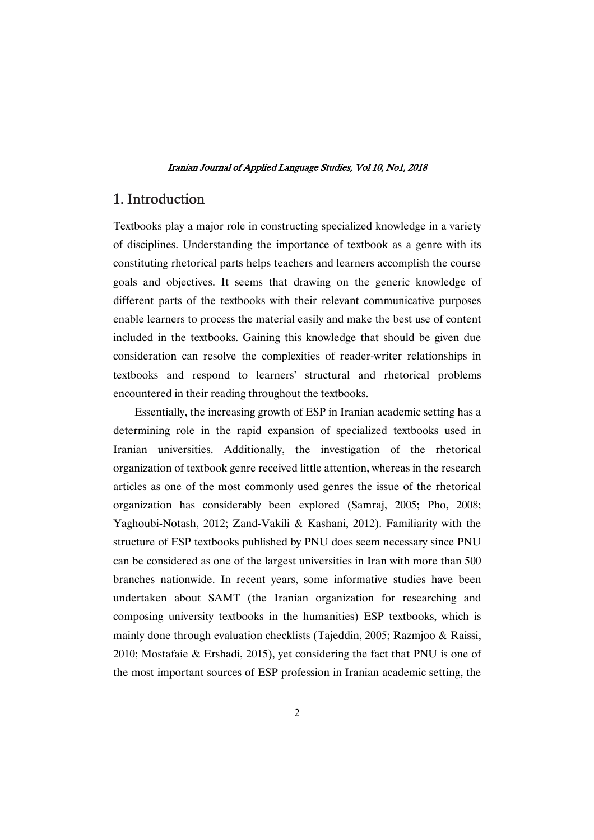# 1.Introduction

Textbooks play a major role in constructing specialized knowledge in a variety of disciplines. Understanding the importance of textbook as a genre with its constituting rhetorical parts helps teachers and learners accomplish the course goals and objectives. It seems that drawing on the generic knowledge of different parts of the textbooks with their relevant communicative purposes enable learners to process the material easily and make the best use of content included in the textbooks. Gaining this knowledge that should be given due consideration can resolve the complexities of reader-writer relationships in textbooks and respond to learners' structural and rhetorical problems encountered in their reading throughout the textbooks.

Essentially, the increasing growth of ESP in Iranian academic setting has a determining role in the rapid expansion of specialized textbooks used in Iranian universities. Additionally, the investigation of the rhetorical organization of textbook genre received little attention, whereas in the research articles as one of the most commonly used genres the issue of the rhetorical organization has considerably been explored (Samraj, 2005; Pho, 2008; Yaghoubi-Notash, 2012; Zand-Vakili & Kashani, 2012). Familiarity with the structure of ESP textbooks published by PNU does seem necessary since PNU can be considered as one of the largest universities in Iran with more than 500 branches nationwide. In recent years, some informative studies have been undertaken about SAMT (the Iranian organization for researching and composing university textbooks in the humanities) ESP textbooks, which is mainly done through evaluation checklists (Tajeddin, 2005; Razmjoo & Raissi, 2010; Mostafaie & Ershadi, 2015), yet considering the fact that PNU is one of the most important sources of ESP profession in Iranian academic setting, the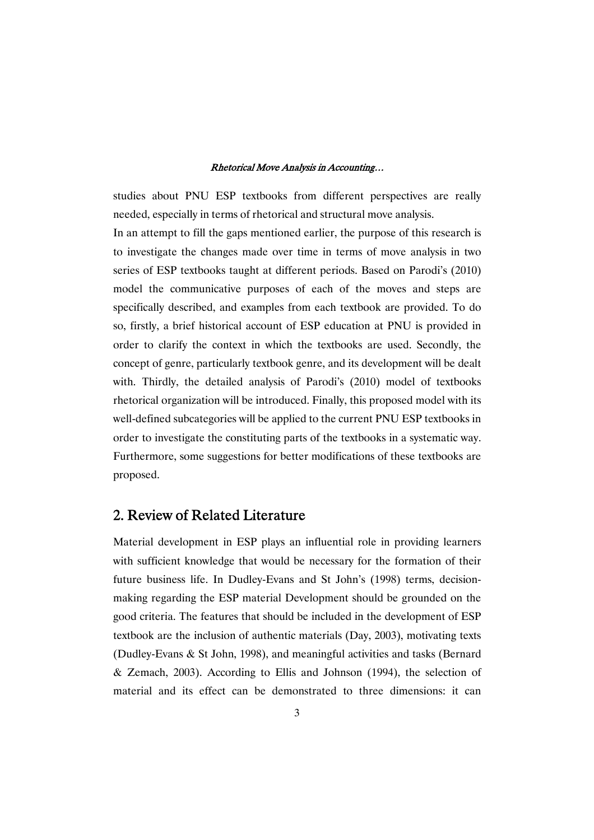studies about PNU ESP textbooks from different perspectives are really needed, especially in terms of rhetorical and structural move analysis.

In an attempt to fill the gaps mentioned earlier, the purpose of this research is to investigate the changes made over time in terms of move analysis in two series of ESP textbooks taught at different periods. Based on Parodi's (2010) model the communicative purposes of each of the moves and steps are specifically described, and examples from each textbook are provided. To do so, firstly, a brief historical account of ESP education at PNU is provided in order to clarify the context in which the textbooks are used. Secondly, the concept of genre, particularly textbook genre, and its development will be dealt with. Thirdly, the detailed analysis of Parodi's (2010) model of textbooks rhetorical organization will be introduced. Finally, this proposed model with its well-defined subcategories will be applied to the current PNU ESP textbooks in order to investigate the constituting parts of the textbooks in a systematic way. Furthermore, some suggestions for better modifications of these textbooks are proposed.

# 2. Review of Related Literature

Material development in ESP plays an influential role in providing learners with sufficient knowledge that would be necessary for the formation of their future business life. In Dudley-Evans and St John's (1998) terms, decisionmaking regarding the ESP material Development should be grounded on the good criteria. The features that should be included in the development of ESP textbook are the inclusion of authentic materials (Day, 2003), motivating texts (Dudley-Evans & St John, 1998), and meaningful activities and tasks (Bernard & Zemach, 2003). According to Ellis and Johnson (1994), the selection of material and its effect can be demonstrated to three dimensions: it can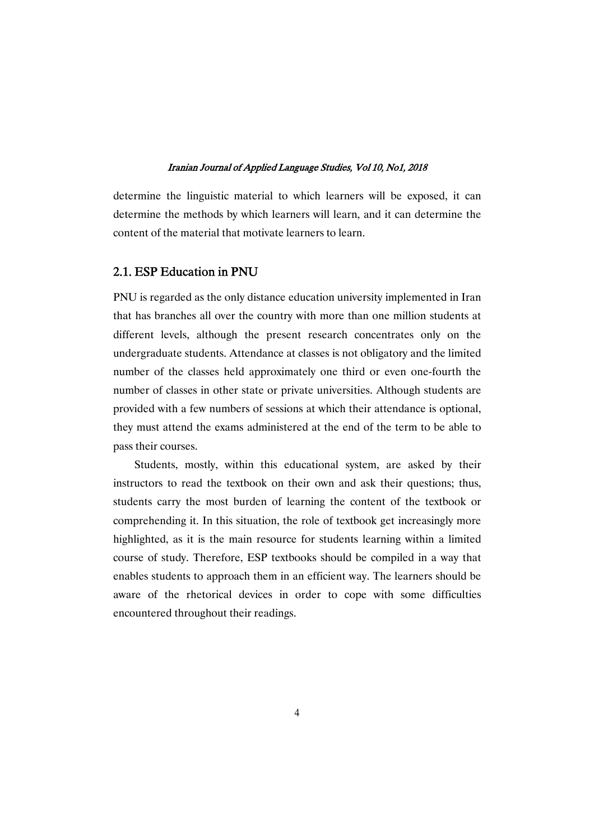determine the linguistic material to which learners will be exposed, it can determine the methods by which learners will learn, and it can determine the content of the material that motivate learners to learn.

# 2.1. ESP Education in PNU

PNU is regarded as the only distance education university implemented in Iran that has branches all over the country with more than one million students at different levels, although the present research concentrates only on the undergraduate students. Attendance at classes is not obligatory and the limited number of the classes held approximately one third or even one-fourth the number of classes in other state or private universities. Although students are provided with a few numbers of sessions at which their attendance is optional, they must attend the exams administered at the end of the term to be able to pass their courses.

Students, mostly, within this educational system, are asked by their instructors to read the textbook on their own and ask their questions; thus, students carry the most burden of learning the content of the textbook or comprehending it. In this situation, the role of textbook get increasingly more highlighted, as it is the main resource for students learning within a limited course of study. Therefore, ESP textbooks should be compiled in a way that enables students to approach them in an efficient way. The learners should be aware of the rhetorical devices in order to cope with some difficulties encountered throughout their readings.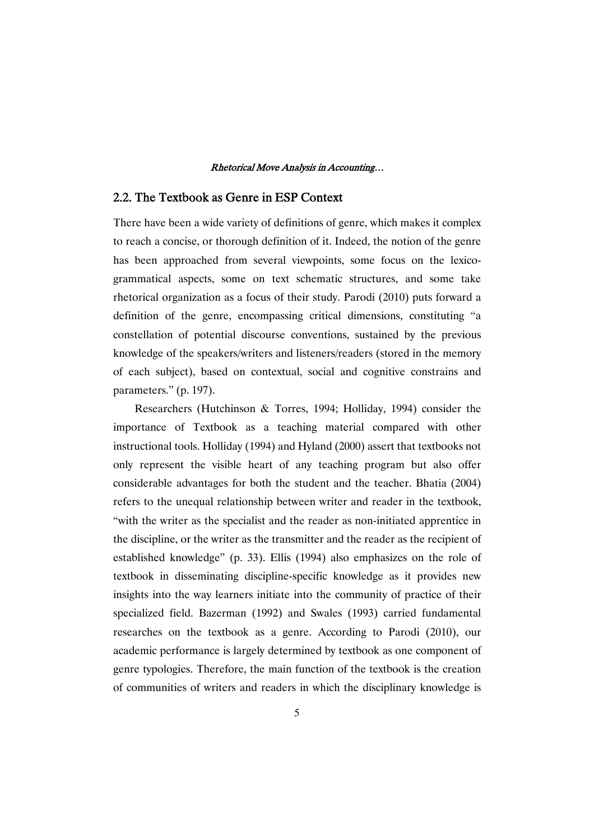# 2.2. The Textbook as Genre in ESP Context

There have been a wide variety of definitions of genre, which makes it complex to reach a concise, or thorough definition of it. Indeed, the notion of the genre has been approached from several viewpoints, some focus on the lexicogrammatical aspects, some on text schematic structures, and some take rhetorical organization as a focus of their study. Parodi (2010) puts forward a definition of the genre, encompassing critical dimensions, constituting "a constellation of potential discourse conventions, sustained by the previous knowledge of the speakers/writers and listeners/readers (stored in the memory of each subject), based on contextual, social and cognitive constrains and parameters." (p. 197).

Researchers (Hutchinson & Torres, 1994; Holliday, 1994) consider the importance of Textbook as a teaching material compared with other instructional tools. Holliday (1994) and Hyland (2000) assert that textbooks not only represent the visible heart of any teaching program but also offer considerable advantages for both the student and the teacher. Bhatia (2004) refers to the unequal relationship between writer and reader in the textbook, "with the writer as the specialist and the reader as non-initiated apprentice in the discipline, or the writer as the transmitter and the reader as the recipient of established knowledge" (p. 33). Ellis (1994) also emphasizes on the role of textbook in disseminating discipline-specific knowledge as it provides new insights into the way learners initiate into the community of practice of their specialized field. Bazerman (1992) and Swales (1993) carried fundamental researches on the textbook as a genre. According to Parodi (2010), our academic performance is largely determined by textbook as one component of genre typologies. Therefore, the main function of the textbook is the creation of communities of writers and readers in which the disciplinary knowledge is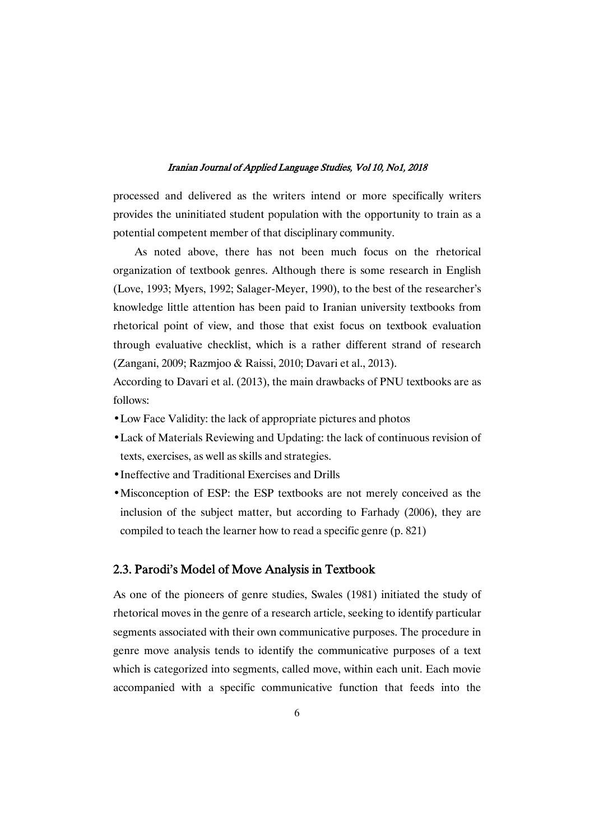processed and delivered as the writers intend or more specifically writers provides the uninitiated student population with the opportunity to train as a potential competent member of that disciplinary community.

As noted above, there has not been much focus on the rhetorical organization of textbook genres. Although there is some research in English (Love, 1993; Myers, 1992; Salager-Meyer, 1990), to the best of the researcher's knowledge little attention has been paid to Iranian university textbooks from rhetorical point of view, and those that exist focus on textbook evaluation through evaluative checklist, which is a rather different strand of research (Zangani, 2009; Razmjoo & Raissi, 2010; Davari et al., 2013).

According to Davari et al. (2013), the main drawbacks of PNU textbooks are as follows:

- Low Face Validity: the lack of appropriate pictures and photos
- Lack of Materials Reviewing and Updating: the lack of continuous revision of texts, exercises, as well as skills and strategies.
- Ineffective and Traditional Exercises and Drills
- Misconception of ESP: the ESP textbooks are not merely conceived as the inclusion of the subject matter, but according to Farhady (2006), they are compiled to teach the learner how to read a specific genre (p. 821)

# 2.3. Parodi's Model of Move Analysis in Textbook

As one of the pioneers of genre studies, Swales (1981) initiated the study of rhetorical moves in the genre of a research article, seeking to identify particular segments associated with their own communicative purposes. The procedure in genre move analysis tends to identify the communicative purposes of a text which is categorized into segments, called move, within each unit. Each movie accompanied with a specific communicative function that feeds into the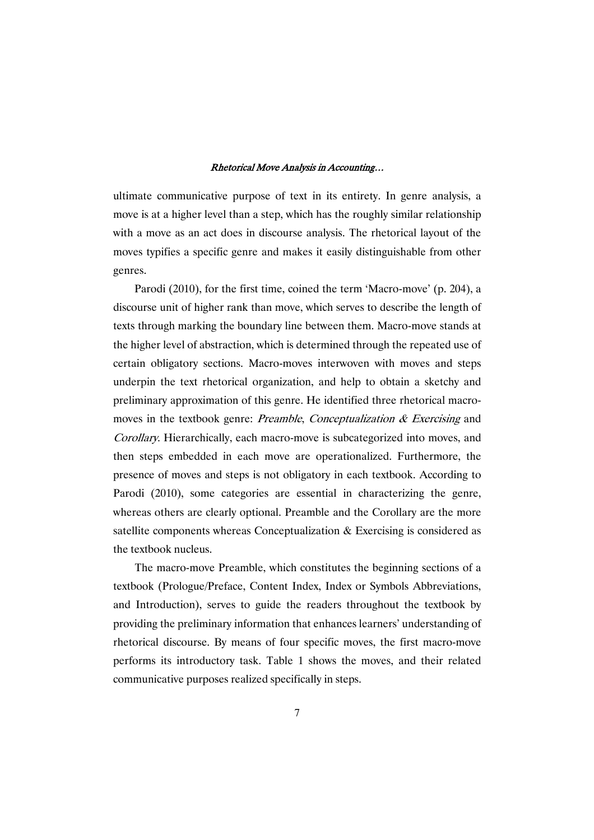ultimate communicative purpose of text in its entirety. In genre analysis, a move is at a higher level than a step, which has the roughly similar relationship with a move as an act does in discourse analysis. The rhetorical layout of the moves typifies a specific genre and makes it easily distinguishable from other genres.

Parodi (2010), for the first time, coined the term 'Macro-move' (p. 204), a discourse unit of higher rank than move, which serves to describe the length of texts through marking the boundary line between them. Macro-move stands at the higher level of abstraction, which is determined through the repeated use of certain obligatory sections. Macro-moves interwoven with moves and steps underpin the text rhetorical organization, and help to obtain a sketchy and preliminary approximation of this genre. He identified three rhetorical macromoves in the textbook genre: *Preamble, Conceptualization & Exercising* and Corollary. Hierarchically, each macro-move is subcategorized into moves, and then steps embedded in each move are operationalized. Furthermore, the presence of moves and steps is not obligatory in each textbook. According to Parodi (2010), some categories are essential in characterizing the genre, whereas others are clearly optional. Preamble and the Corollary are the more satellite components whereas Conceptualization & Exercising is considered as the textbook nucleus.

The macro-move Preamble, which constitutes the beginning sections of a textbook (Prologue/Preface, Content Index, Index or Symbols Abbreviations, and Introduction), serves to guide the readers throughout the textbook by providing the preliminary information that enhances learners' understanding of rhetorical discourse. By means of four specific moves, the first macro-move performs its introductory task. Table 1 shows the moves, and their related communicative purposes realized specifically in steps.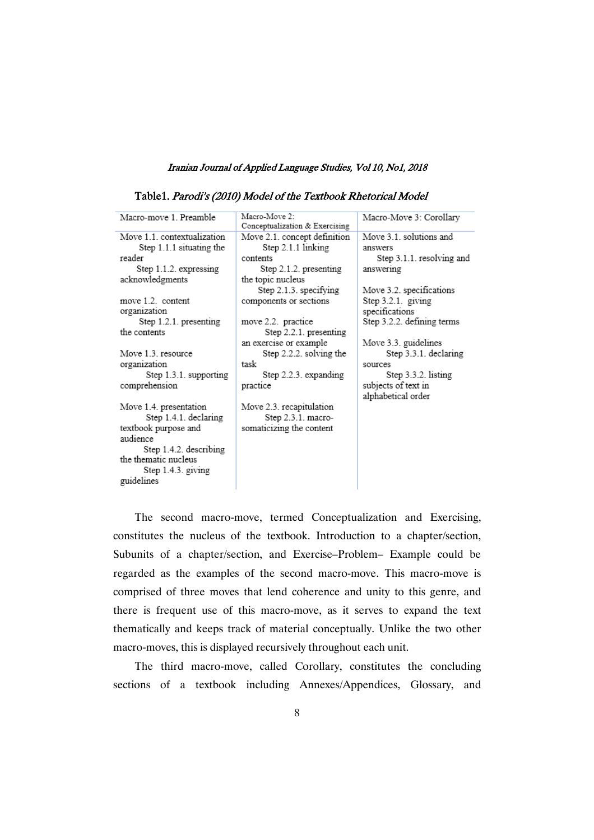| Macro-move 1. Preamble      | Macro-Move 2:<br>Conceptualization & Exercising | Macro-Move 3: Corollary    |
|-----------------------------|-------------------------------------------------|----------------------------|
| Move 1.1. contextualization | Move 2.1. concept definition                    | Move 3.1, solutions and    |
| Step 1.1.1 situating the    | Step 2.1.1 linking                              | answers                    |
| reader                      | contents                                        | Step 3.1.1. resolving and  |
| Step $1.1.2$ . expressing   | Step 2.1.2. presenting                          | answering                  |
| acknowledgments             | the topic nucleus                               |                            |
|                             | Step 2.1.3. specifying                          | Move 3.2. specifications   |
| move 1.2. content           | components or sections                          | Step 3.2.1. giving         |
| organization                |                                                 | specifications             |
| Step $1.2.1$ . presenting   | move 2.2. practice                              | Step 3.2.2. defining terms |
| the contents                | Step 2.2.1. presenting                          |                            |
|                             | an exercise or example                          | Move 3.3. guidelines       |
| Move 1.3, resource          | Step 2.2.2. solving the                         | Step 3.3.1. declaring      |
| organization                | task                                            | sources                    |
| Step 1.3.1. supporting      | Step 2.2.3. expanding                           | Step 3.3.2. listing        |
| comprehension               | practice                                        | subjects of text in        |
|                             |                                                 | alphabetical order         |
| Move 1.4. presentation      | Move 2.3. recapitulation                        |                            |
| Step 1.4.1. declaring       | Step 2.3.1. macro-                              |                            |
| textbook purpose and        | somaticizing the content                        |                            |
| audience                    |                                                 |                            |
| Step 1.4.2. describing      |                                                 |                            |
| the thematic nucleus        |                                                 |                            |
| Step $1.4.3$ . giving       |                                                 |                            |
| guidelines                  |                                                 |                            |

Table1. Parodi's (2010) Model of the Textbook Rhetorical Model

The second macro-move, termed Conceptualization and Exercising, constitutes the nucleus of the textbook. Introduction to a chapter/section, Subunits of a chapter/section, and Exercise–Problem– Example could be regarded as the examples of the second macro-move. This macro-move is comprised of three moves that lend coherence and unity to this genre, and there is frequent use of this macro-move, as it serves to expand the text thematically and keeps track of material conceptually. Unlike the two other macro-moves, this is displayed recursively throughout each unit.

The third macro-move, called Corollary, constitutes the concluding sections of a textbook including Annexes/Appendices, Glossary, and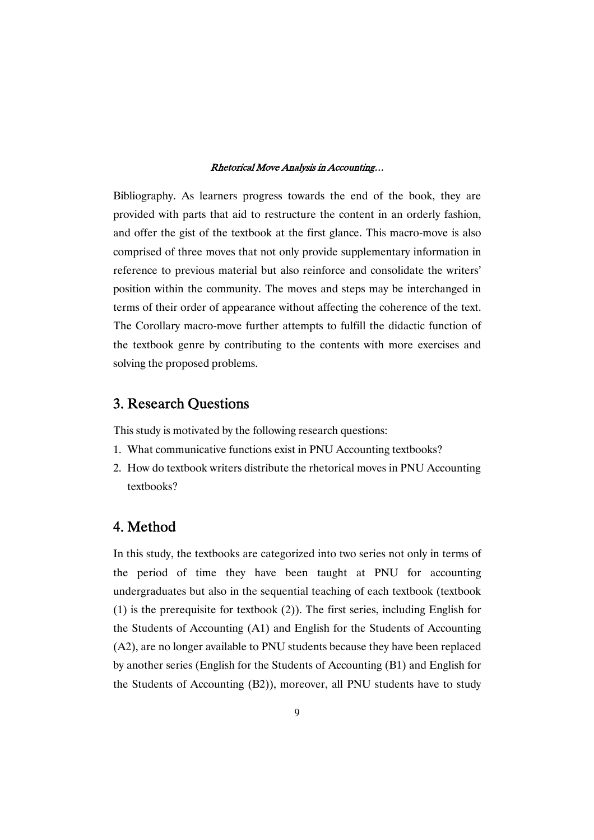Bibliography. As learners progress towards the end of the book, they are provided with parts that aid to restructure the content in an orderly fashion, and offer the gist of the textbook at the first glance. This macro-move is also comprised of three moves that not only provide supplementary information in reference to previous material but also reinforce and consolidate the writers' position within the community. The moves and steps may be interchanged in terms of their order of appearance without affecting the coherence of the text. The Corollary macro-move further attempts to fulfill the didactic function of the textbook genre by contributing to the contents with more exercises and solving the proposed problems.

# 3. Research Questions

This study is motivated by the following research questions:

- 1. What communicative functions exist in PNU Accounting textbooks?
- 2. How do textbook writers distribute the rhetorical moves in PNU Accounting textbooks?

# 4.Method

In this study, the textbooks are categorized into two series not only in terms of the period of time they have been taught at PNU for accounting undergraduates but also in the sequential teaching of each textbook (textbook (1) is the prerequisite for textbook (2)). The first series, including English for the Students of Accounting (A1) and English for the Students of Accounting (A2), are no longer available to PNU students because they have been replaced by another series (English for the Students of Accounting (B1) and English for the Students of Accounting (B2)), moreover, all PNU students have to study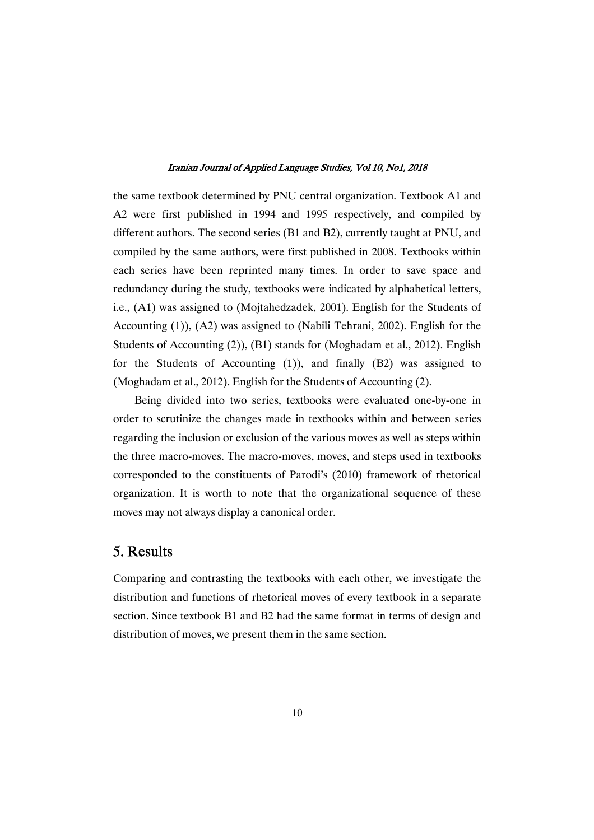the same textbook determined by PNU central organization. Textbook A1 and A2 were first published in 1994 and 1995 respectively, and compiled by different authors. The second series (B1 and B2), currently taught at PNU, and compiled by the same authors, were first published in 2008. Textbooks within each series have been reprinted many times. In order to save space and redundancy during the study, textbooks were indicated by alphabetical letters, i.e., (A1) was assigned to (Mojtahedzadek, 2001). English for the Students of Accounting (1)), (A2) was assigned to (Nabili Tehrani, 2002). English for the Students of Accounting (2)), (B1) stands for (Moghadam et al., 2012). English for the Students of Accounting (1)), and finally (B2) was assigned to (Moghadam et al., 2012). English for the Students of Accounting (2).

Being divided into two series, textbooks were evaluated one-by-one in order to scrutinize the changes made in textbooks within and between series regarding the inclusion or exclusion of the various moves as well as steps within the three macro-moves. The macro-moves, moves, and steps used in textbooks corresponded to the constituents of Parodi's (2010) framework of rhetorical organization. It is worth to note that the organizational sequence of these moves may not always display a canonical order.

# 5.Results

Comparing and contrasting the textbooks with each other, we investigate the distribution and functions of rhetorical moves of every textbook in a separate section. Since textbook B1 and B2 had the same format in terms of design and distribution of moves, we present them in the same section.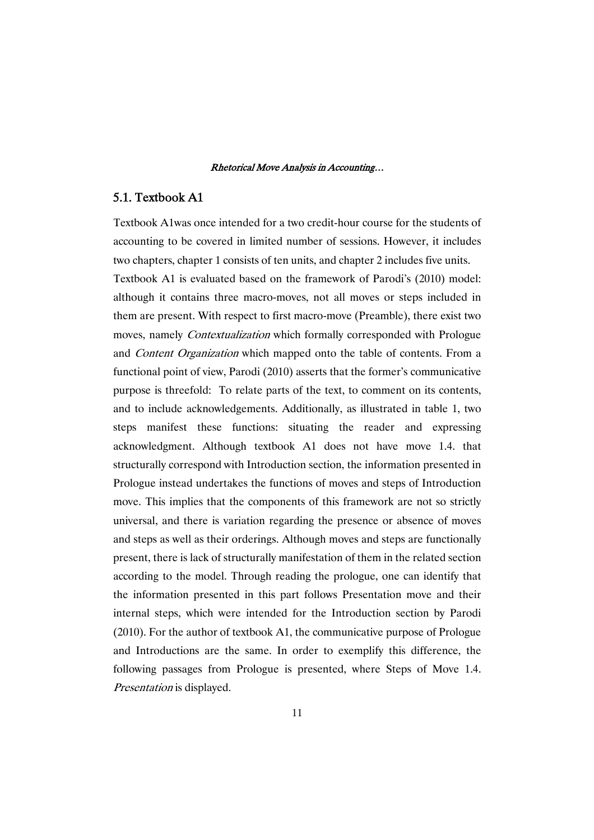# 5.1. Textbook A1

Textbook A1was once intended for a two credit-hour course for the students of accounting to be covered in limited number of sessions. However, it includes two chapters, chapter 1 consists of ten units, and chapter 2 includes five units.

Textbook A1 is evaluated based on the framework of Parodi's (2010) model: although it contains three macro-moves, not all moves or steps included in them are present. With respect to first macro-move (Preamble), there exist two moves, namely Contextualization which formally corresponded with Prologue and Content Organization which mapped onto the table of contents. From a functional point of view, Parodi (2010) asserts that the former's communicative purpose is threefold: To relate parts of the text, to comment on its contents, and to include acknowledgements. Additionally, as illustrated in table 1, two steps manifest these functions: situating the reader and expressing acknowledgment. Although textbook A1 does not have move 1.4. that structurally correspond with Introduction section, the information presented in Prologue instead undertakes the functions of moves and steps of Introduction move. This implies that the components of this framework are not so strictly universal, and there is variation regarding the presence or absence of moves and steps as well as their orderings. Although moves and steps are functionally present, there is lack of structurally manifestation of them in the related section according to the model. Through reading the prologue, one can identify that the information presented in this part follows Presentation move and their internal steps, which were intended for the Introduction section by Parodi (2010). For the author of textbook A1, the communicative purpose of Prologue and Introductions are the same. In order to exemplify this difference, the following passages from Prologue is presented, where Steps of Move 1.4. Presentation is displayed.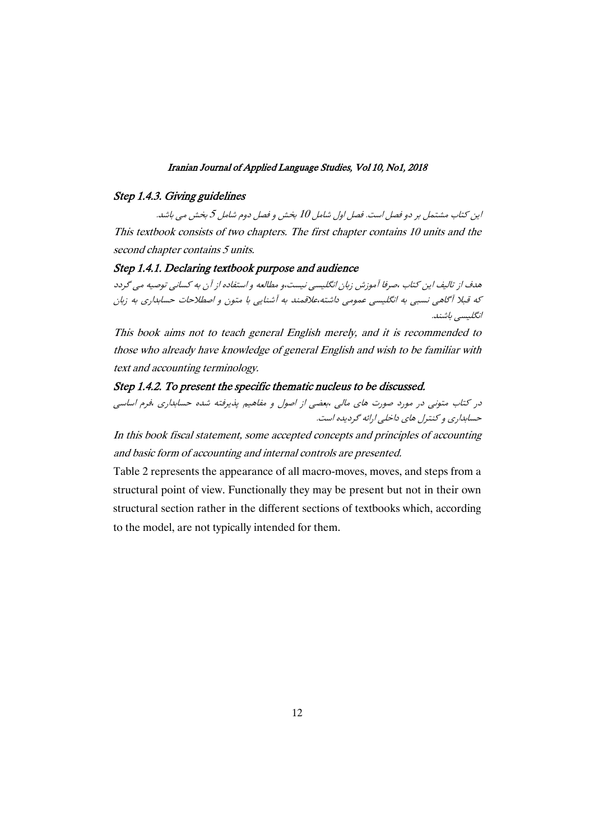### Step 1.4.3. Giving guidelines

این کتاب مشتمل بر دو فصل است. فصل اول شامل 10 بخش و فصل دوم شامل 5 بخش می باشد. This textbook consists of two chapters. The first chapter contains 10 units and the second chapter contains 5 units.

# Step 1.4.1. Declaring textbook purpose and audience

هدف از تالیف این کتاب ،صرفا آموزش زبان انگلیسی نیست،و مطالعه و استفاده از آن به کسانی توصیه می گردد كه قبلا آگاهي نسبي به انگليسي عمومي داشته،علاقمند به آشنايي با متون و اصطلاحات حسابداري به زبان انگلیسی باشند.

This book aims not to teach general English merely, and it is recommended to those who already have knowledge of general English and wish to be familiar with text and accounting terminology.

# Step 1.4.2. To present the specific thematic nucleus to be discussed.

در کتاب متونی در مورد صورت های مالی ،بعضی از اصول و مفاهیم پذیرفته شده حسابداری ،فرم اساسی حسابداري و كنترل هاي داخلي ارائه گرديده است.

In this book fiscal statement, some accepted concepts and principles of accounting and basic form of accounting and internal controls are presented.

Table 2 represents the appearance of all macro-moves, moves, and steps from a structural point of view. Functionally they may be present but not in their own structural section rather in the different sections of textbooks which, according to the model, are not typically intended for them.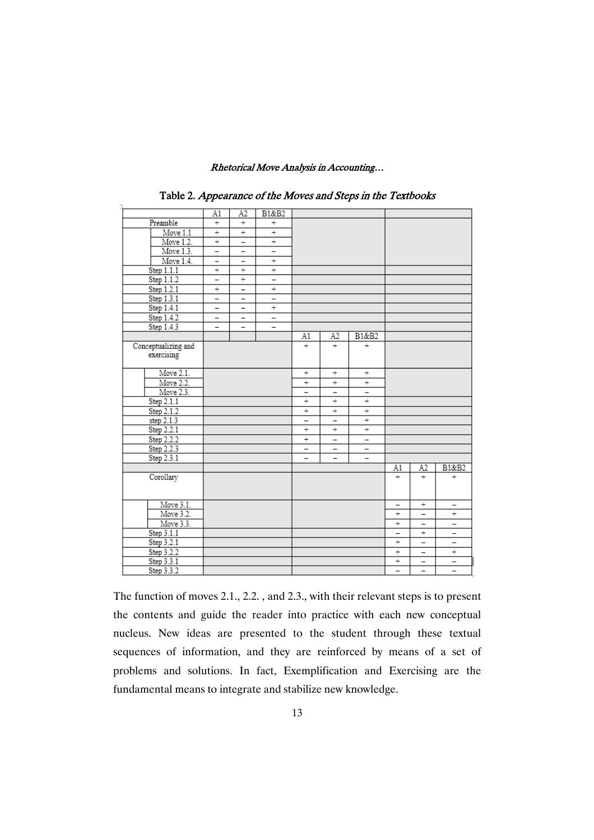|                          | A1                       | A2                       | B1&B2                    |                          |                          |                          |                          |                          |                          |
|--------------------------|--------------------------|--------------------------|--------------------------|--------------------------|--------------------------|--------------------------|--------------------------|--------------------------|--------------------------|
| Preamble                 | $^{+}$                   | $\overline{+}$           | $^{+}$                   |                          |                          |                          |                          |                          |                          |
| Move 1.1                 | $^{+}$                   | $^{+}$                   | $^{+}$                   |                          |                          |                          |                          |                          |                          |
| Move 1.2.                | $^{+}$                   | $\qquad \qquad -$        | $^{+}$                   |                          |                          |                          |                          |                          |                          |
| Move 1.3.                | $\qquad \qquad -$        | -                        | $\overline{\phantom{0}}$ |                          |                          |                          |                          |                          |                          |
| Move 1.4.                | -                        | -                        | $^{+}$                   |                          |                          |                          |                          |                          |                          |
| Step 1.1.1               | $^{+}$                   | $^{+}$                   | $^{+}$                   |                          |                          |                          |                          |                          |                          |
| Step 1.1.2               | $\overline{\phantom{0}}$ | $^{+}$                   | $\overline{a}$           |                          |                          |                          |                          |                          |                          |
| Step 1.2.1               | $^{+}$                   | $\qquad \qquad -$        | $^{+}$                   |                          |                          |                          |                          |                          |                          |
| Step 1.3.1               | $\overline{\phantom{0}}$ | -                        | $\overline{\phantom{0}}$ |                          |                          |                          |                          |                          |                          |
| Step 1.4.1               | $\overline{a}$           | $\overline{\phantom{0}}$ | $\overline{+}$           |                          |                          |                          |                          |                          |                          |
| Step 1.4.2               | $\overline{\phantom{0}}$ | $\overline{\phantom{0}}$ | $\overline{\phantom{0}}$ |                          |                          |                          |                          |                          |                          |
| Step 1.4.3               | $\overline{\phantom{0}}$ |                          |                          |                          |                          |                          |                          |                          |                          |
|                          |                          |                          |                          | A1                       | A2                       | B1&B2                    |                          |                          |                          |
| Conceptualizing and      |                          |                          |                          | $^{+}$                   | $^{+}$                   | $^{+}$                   |                          |                          |                          |
| exercising               |                          |                          |                          |                          |                          |                          |                          |                          |                          |
|                          |                          |                          |                          |                          |                          |                          |                          |                          |                          |
| Move 2.1.                |                          |                          |                          | $^{+}$                   | $^{+}$                   | $^{+}$                   |                          |                          |                          |
| Move 2.2.                |                          |                          |                          | $^{+}$                   | $^{+}$                   | $^{+}$                   |                          |                          |                          |
| Move 2.3.                |                          |                          |                          | $\overline{\phantom{0}}$ | -                        | $\overline{\phantom{0}}$ |                          |                          |                          |
| Step 2.1.1               |                          |                          |                          | $^{+}$                   | $\overline{+}$           | $^{+}$                   |                          |                          |                          |
| Step 2.1.2               |                          |                          |                          | $^{+}$                   | $^{+}$                   | $^{-}$                   |                          |                          |                          |
| step 2.1.3               |                          |                          |                          | $\overline{\phantom{0}}$ | $\qquad \qquad -$        | $^{+}$                   |                          |                          |                          |
| Step 2.2.1               |                          |                          |                          | $^{+}$                   | $^{+}$                   | $^{+}$                   |                          |                          |                          |
| Step 2.2.2<br>Step 2.2.3 |                          |                          |                          | $\! + \!$                | $\overline{\phantom{0}}$ | $\qquad \qquad -$        |                          |                          |                          |
|                          |                          |                          |                          | $\overline{\phantom{0}}$ | -                        | -                        |                          |                          |                          |
| Step 2.3.1               |                          |                          |                          |                          |                          |                          |                          |                          |                          |
|                          |                          |                          |                          |                          |                          |                          | A1                       | A2                       | B1&B2                    |
| Corollary                |                          |                          |                          |                          |                          |                          | ÷                        | ÷                        | $^{+}$                   |
|                          |                          |                          |                          |                          |                          |                          |                          |                          |                          |
|                          |                          |                          |                          |                          |                          |                          |                          |                          |                          |
| Move 3.1.                |                          |                          |                          |                          |                          |                          | -                        | ÷                        | Ξ                        |
| Move 3.2.                |                          |                          |                          |                          |                          |                          | ÷                        | -                        | $^{+}$                   |
| Move 3.3.                |                          |                          |                          |                          |                          |                          | ÷                        | -                        | $\equiv$                 |
| Step 3.1.1               |                          |                          |                          |                          |                          |                          | -                        | $^{+}$                   | $\overline{\phantom{0}}$ |
| Step 3.2.1               |                          |                          |                          |                          |                          |                          | ÷                        | $\overline{\phantom{0}}$ | $\overline{\phantom{0}}$ |
| Step 3.2.2               |                          |                          |                          |                          |                          |                          | ÷                        | $\overline{\phantom{0}}$ | $^{-}$                   |
| Step 3.3.1               |                          |                          |                          |                          |                          |                          | $\ddot{}$                | -                        | -                        |
| Step 3.3.2               |                          |                          |                          |                          |                          |                          | $\overline{\phantom{0}}$ | $\overline{\phantom{0}}$ | $\overline{\phantom{a}}$ |

Table 2. Appearance of the Moves and Steps in the Textbooks

The function of moves 2.1., 2.2. , and 2.3., with their relevant steps is to present the contents and guide the reader into practice with each new conceptual nucleus. New ideas are presented to the student through these textual sequences of information, and they are reinforced by means of a set of problems and solutions. In fact, Exemplification and Exercising are the fundamental means to integrate and stabilize new knowledge.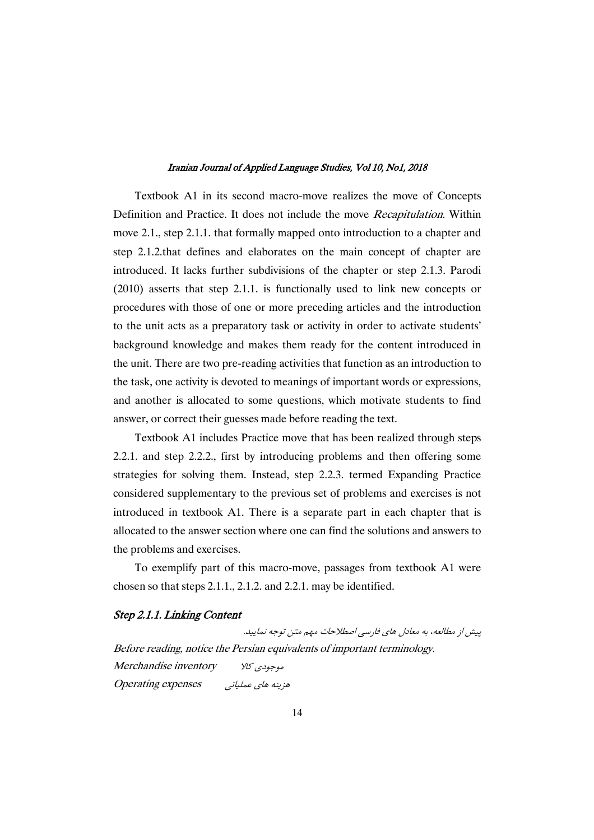Textbook A1 in its second macro-move realizes the move of Concepts Definition and Practice. It does not include the move Recapitulation. Within move 2.1., step 2.1.1. that formally mapped onto introduction to a chapter and step 2.1.2.that defines and elaborates on the main concept of chapter are introduced. It lacks further subdivisions of the chapter or step 2.1.3. Parodi (2010) asserts that step 2.1.1. is functionally used to link new concepts or procedures with those of one or more preceding articles and the introduction to the unit acts as a preparatory task or activity in order to activate students' background knowledge and makes them ready for the content introduced in the unit. There are two pre-reading activities that function as an introduction to the task, one activity is devoted to meanings of important words or expressions, and another is allocated to some questions, which motivate students to find answer, or correct their guesses made before reading the text.

Textbook A1 includes Practice move that has been realized through steps 2.2.1. and step 2.2.2., first by introducing problems and then offering some strategies for solving them. Instead, step 2.2.3. termed Expanding Practice considered supplementary to the previous set of problems and exercises is not introduced in textbook A1. There is a separate part in each chapter that is allocated to the answer section where one can find the solutions and answers to the problems and exercises.

To exemplify part of this macro-move, passages from textbook A1 were chosen so that steps 2.1.1., 2.1.2. and 2.2.1. may be identified.

## Step 2.1.1. Linking Content

پیش از مطالعه، به معادل های فارسی اصطلاحات مهم متن توجه نمایید. Before reading, notice the Persian equivalents of important terminology. Merchandise inventory وموجودي كالا Operating expenses  $\omega$  من بنه های عملیاتی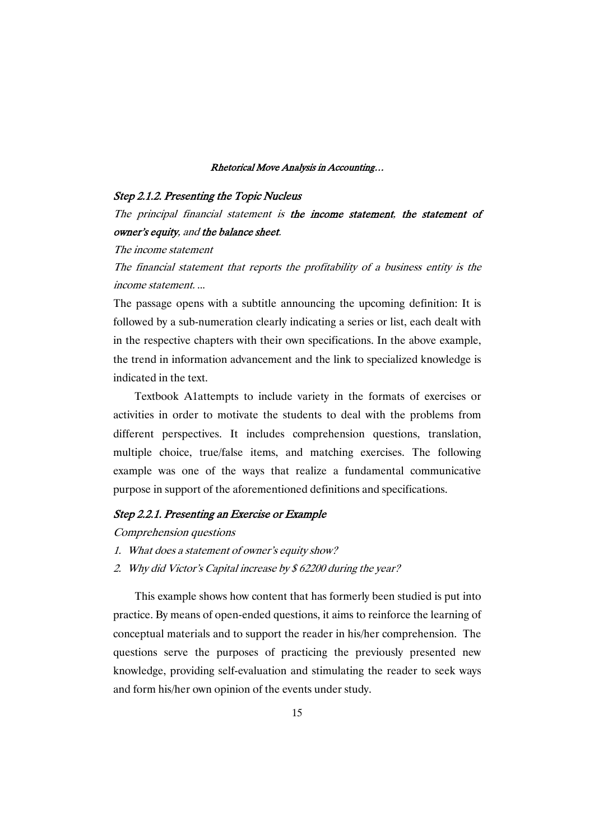### Step 2.1.2. Presenting the Topic Nucleus

The principal financial statement is the income statement, the statement of owner's equity, and the balance sheet.

The income statement

The financial statement that reports the profitability of <sup>a</sup> business entity is the income statement. ...

The passage opens with a subtitle announcing the upcoming definition: It is followed by a sub-numeration clearly indicating a series or list, each dealt with in the respective chapters with their own specifications. In the above example, the trend in information advancement and the link to specialized knowledge is indicated in the text.

Textbook A1attempts to include variety in the formats of exercises or activities in order to motivate the students to deal with the problems from different perspectives. It includes comprehension questions, translation, multiple choice, true/false items, and matching exercises. The following example was one of the ways that realize a fundamental communicative purpose in support of the aforementioned definitions and specifications.

# Step 2.2.1. Presenting an Exercise or Example

Comprehension questions

- 1. What does <sup>a</sup> statement of owner's equity show?
- 2. Why did Victor's Capital increase by \$ 62200 during the year?

This example shows how content that has formerly been studied is put into practice. By means of open-ended questions, it aims to reinforce the learning of conceptual materials and to support the reader in his/her comprehension. The questions serve the purposes of practicing the previously presented new knowledge, providing self-evaluation and stimulating the reader to seek ways and form his/her own opinion of the events under study.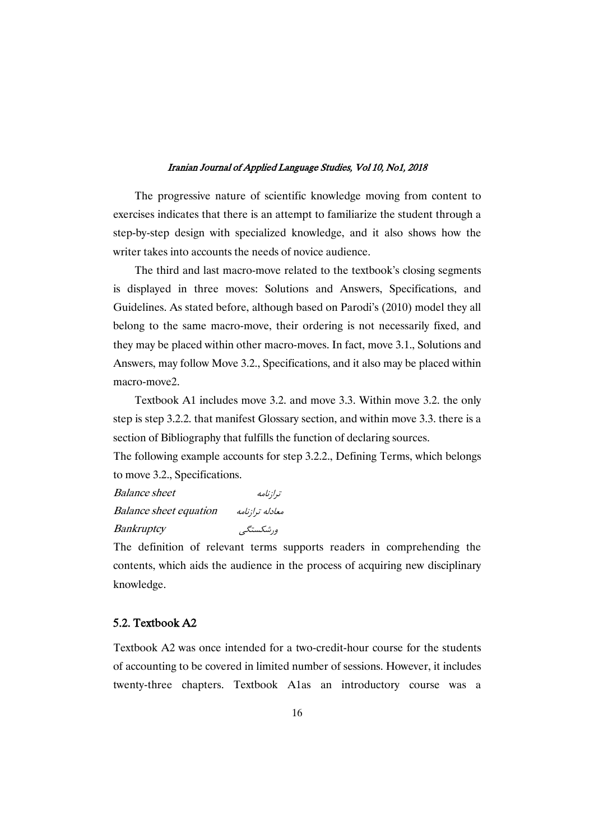The progressive nature of scientific knowledge moving from content to exercises indicates that there is an attempt to familiarize the student through a step-by-step design with specialized knowledge, and it also shows how the writer takes into accounts the needs of novice audience.

The third and last macro-move related to the textbook's closing segments is displayed in three moves: Solutions and Answers, Specifications, and Guidelines. As stated before, although based on Parodi's (2010) model they all belong to the same macro-move, their ordering is not necessarily fixed, and they may be placed within other macro-moves. In fact, move 3.1., Solutions and Answers, may follow Move 3.2., Specifications, and it also may be placed within macro-move2

Textbook A1 includes move 3.2. and move 3.3. Within move 3.2. the only step is step 3.2.2. that manifest Glossary section, and within move 3.3. there is a section of Bibliography that fulfills the function of declaring sources.

The following example accounts for step 3.2.2., Defining Terms, which belongs to move 3.2., Specifications.

Balance sheet  $\ddot{\phantom{a}}$ Balance sheet equation /'! /0 Bankruptcy ورشكستگى مىنستانى

The definition of relevant terms supports readers in comprehending the contents, which aids the audience in the process of acquiring new disciplinary knowledge.

# 5.2. Textbook A2

Textbook A2 was once intended for a two-credit-hour course for the students of accounting to be covered in limited number of sessions. However, it includes twenty-three chapters. Textbook A1as an introductory course was a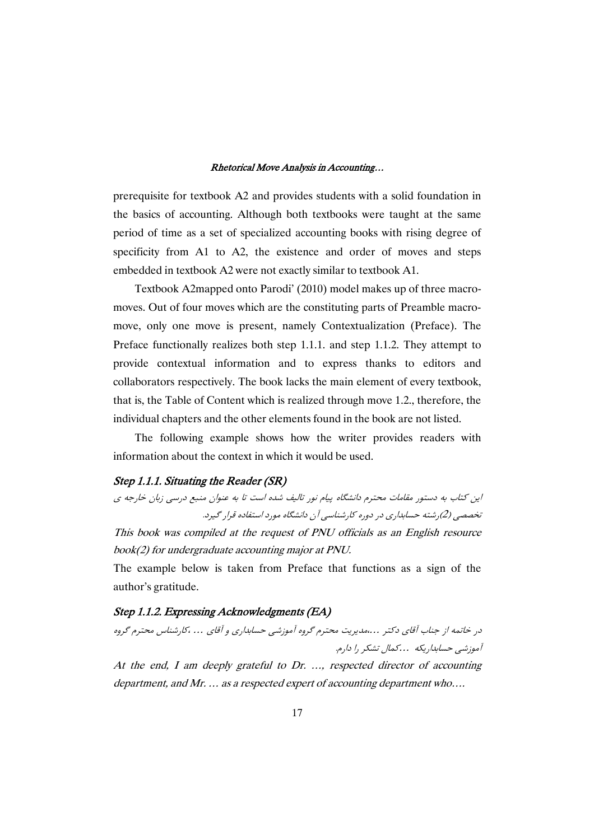prerequisite for textbook A2 and provides students with a solid foundation in the basics of accounting. Although both textbooks were taught at the same period of time as a set of specialized accounting books with rising degree of specificity from A1 to A2, the existence and order of moves and steps embedded in textbook A2 were not exactly similar to textbook A1.

Textbook A2mapped onto Parodi' (2010) model makes up of three macromoves. Out of four moves which are the constituting parts of Preamble macromove, only one move is present, namely Contextualization (Preface). The Preface functionally realizes both step 1.1.1. and step 1.1.2. They attempt to provide contextual information and to express thanks to editors and collaborators respectively. The book lacks the main element of every textbook, that is, the Table of Content which is realized through move 1.2., therefore, the individual chapters and the other elements found in the book are not listed.

The following example shows how the writer provides readers with information about the context in which it would be used.

### Step 1.1.1. Situating the Reader (SR)

```
این کتاب به دستور مقامات محترم دانشگاه پیام نور تالیف شده است تا به عنوان منبع درسی زبان خارجه ی
                     تخصصی (2)رشته حسابداری در دوره کارشناسی آن دانشگاه مورد استفاده قرار گیرد.
This book was compiled at the request of PNU officials as an English resource
```
book(2) for undergraduate accounting major at PNU.

The example below is taken from Preface that functions as a sign of the author's gratitude.

# Step 1.1.2. Expressing Acknowledgments (EA)

در خاتمه از جناب آقای دکتر ……مدیریت محترم گروه آموزشی حسابداری و آقای … ،کارشناس محترم گروه آموزشی حسابداریکه ...کمال تشکر را دارم.

At the end, I am deeply grateful to Dr. …, respected director of accounting department, and Mr. … as <sup>a</sup> respected expert of accounting department who….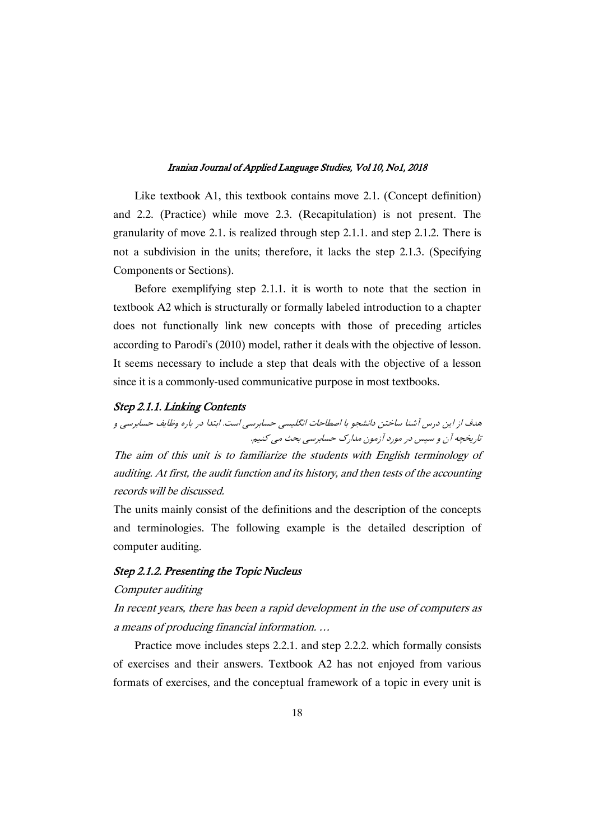Like textbook A1, this textbook contains move 2.1. (Concept definition) and 2.2. (Practice) while move 2.3. (Recapitulation) is not present. The granularity of move 2.1. is realized through step 2.1.1. and step 2.1.2. There is not a subdivision in the units; therefore, it lacks the step 2.1.3. (Specifying Components or Sections).

Before exemplifying step 2.1.1. it is worth to note that the section in textbook A2 which is structurally or formally labeled introduction to a chapter does not functionally link new concepts with those of preceding articles according to Parodi's (2010) model, rather it deals with the objective of lesson. It seems necessary to include a step that deals with the objective of a lesson since it is a commonly-used communicative purpose in most textbooks.

## Step 2.1.1. Linking Contents

هدف از این درس آشنا ساختن دانشجو با اصطاحات انگلیسی حسابرسی است. ابتدا در باره وظایف حسابرسی و تاريخچه آن و سپس در مورد آزمون مدارک حسابرسي بحث مي کنيم.

The aim of this unit is to familiarize the students with English terminology of auditing. At first, the audit function and its history, and then tests of the accounting records will be discussed.

The units mainly consist of the definitions and the description of the concepts and terminologies. The following example is the detailed description of computer auditing.

# Step 2.1.2. Presenting the Topic Nucleus

# Computer auditing

In recent years, there has been <sup>a</sup> rapid development in the use of computers as <sup>a</sup> means of producing financial information. …

Practice move includes steps 2.2.1. and step 2.2.2. which formally consists of exercises and their answers. Textbook A2 has not enjoyed from various formats of exercises, and the conceptual framework of a topic in every unit is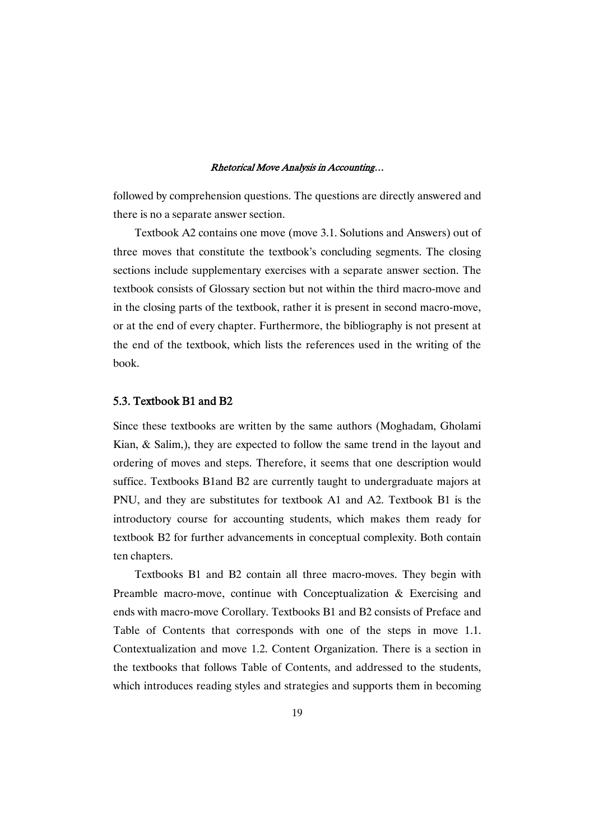followed by comprehension questions. The questions are directly answered and there is no a separate answer section.

Textbook A2 contains one move (move 3.1. Solutions and Answers) out of three moves that constitute the textbook's concluding segments. The closing sections include supplementary exercises with a separate answer section. The textbook consists of Glossary section but not within the third macro-move and in the closing parts of the textbook, rather it is present in second macro-move, or at the end of every chapter. Furthermore, the bibliography is not present at the end of the textbook, which lists the references used in the writing of the book.

# 5.3. Textbook B1 and B2

Since these textbooks are written by the same authors (Moghadam, Gholami Kian, & Salim,), they are expected to follow the same trend in the layout and ordering of moves and steps. Therefore, it seems that one description would suffice. Textbooks B1and B2 are currently taught to undergraduate majors at PNU, and they are substitutes for textbook A1 and A2. Textbook B1 is the introductory course for accounting students, which makes them ready for textbook B2 for further advancements in conceptual complexity. Both contain ten chapters.

Textbooks B1 and B2 contain all three macro-moves. They begin with Preamble macro-move, continue with Conceptualization & Exercising and ends with macro-move Corollary. Textbooks B1 and B2 consists of Preface and Table of Contents that corresponds with one of the steps in move 1.1. Contextualization and move 1.2. Content Organization. There is a section in the textbooks that follows Table of Contents, and addressed to the students, which introduces reading styles and strategies and supports them in becoming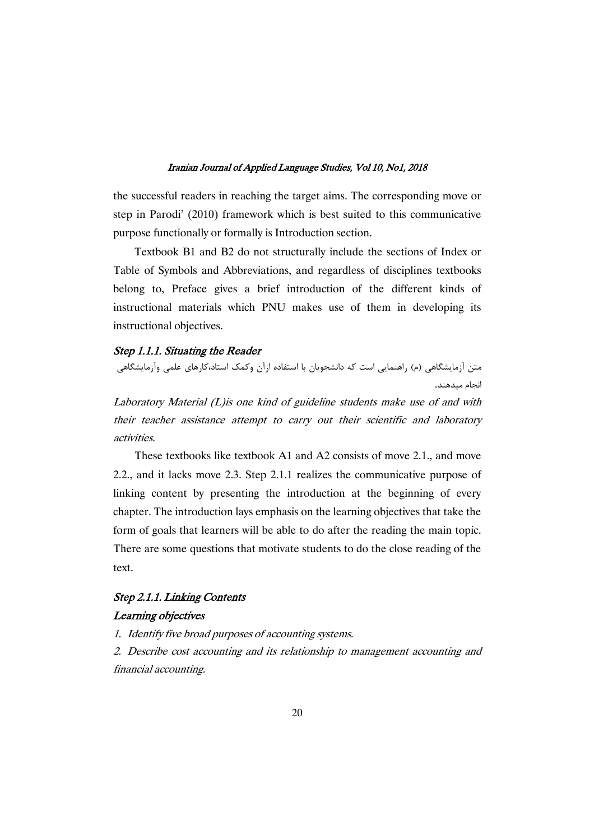the successful readers in reaching the target aims. The corresponding move or step in Parodi' (2010) framework which is best suited to this communicative purpose functionally or formally is Introduction section.

Textbook B1 and B2 do not structurally include the sections of Index or Table of Symbols and Abbreviations, and regardless of disciplines textbooks belong to, Preface gives a brief introduction of the different kinds of instructional materials which PNU makes use of them in developing its instructional objectives.

# Step 1.1.1. Situating the Reader

#&!+ %; 4#5\$ U (+! -. (\*O' /  9#5 () #&!+ .9# O'

Laboratory Material (L)is one kind of guideline students make use of and with their teacher assistance attempt to carry out their scientific and laboratory activities.

These textbooks like textbook A1 and A2 consists of move 2.1., and move 2.2., and it lacks move 2.3. Step 2.1.1 realizes the communicative purpose of linking content by presenting the introduction at the beginning of every chapter. The introduction lays emphasis on the learning objectives that take the form of goals that learners will be able to do after the reading the main topic. There are some questions that motivate students to do the close reading of the text.

# Step 2.1.1. Linking Contents

# Learning objectives

1. Identify five broad purposes of accounting systems.

2. Describe cost accounting and its relationship to management accounting and financial accounting.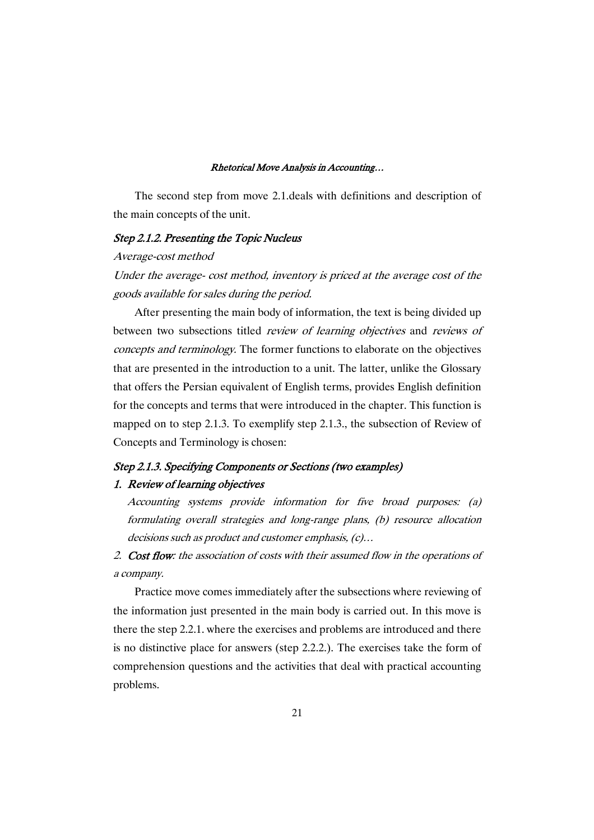The second step from move 2.1.deals with definitions and description of the main concepts of the unit.

### Step 2.1.2. Presenting the Topic Nucleus

### Average-cost method

Under the average- cost method, inventory is priced at the average cost of the goods available for sales during the period.

After presenting the main body of information, the text is being divided up between two subsections titled *review of learning objectives* and *reviews of* concepts and terminology. The former functions to elaborate on the objectives that are presented in the introduction to a unit. The latter, unlike the Glossary that offers the Persian equivalent of English terms, provides English definition for the concepts and terms that were introduced in the chapter. This function is mapped on to step 2.1.3. To exemplify step 2.1.3., the subsection of Review of Concepts and Terminology is chosen:

# Step 2.1.3. Specifying Components or Sections (two examples)

# 1. Review of learning objectives

Accounting systems provide information for five broad purposes: (a) formulating overall strategies and long-range plans, (b) resource allocation decisions such as product and customer emphasis, (c)…

2. Cost flow: the association of costs with their assumed flow in the operations of <sup>a</sup> company.

Practice move comes immediately after the subsections where reviewing of the information just presented in the main body is carried out. In this move is there the step 2.2.1. where the exercises and problems are introduced and there is no distinctive place for answers (step 2.2.2.). The exercises take the form of comprehension questions and the activities that deal with practical accounting problems.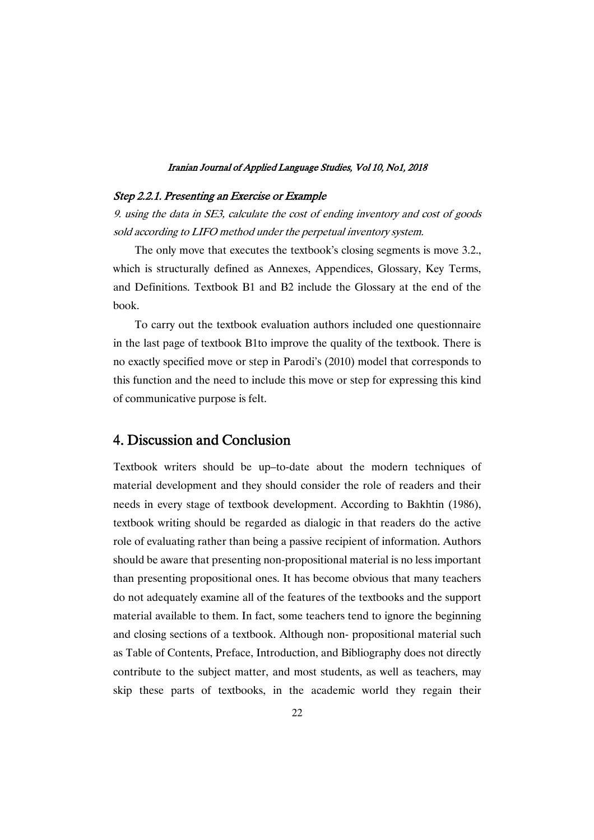# Step 2.2.1. Presenting an Exercise or Example

9. using the data in SE3, calculate the cost of ending inventory and cost of goods sold according to LIFO method under the perpetual inventory system.

The only move that executes the textbook's closing segments is move 3.2., which is structurally defined as Annexes, Appendices, Glossary, Key Terms, and Definitions. Textbook B1 and B2 include the Glossary at the end of the book.

To carry out the textbook evaluation authors included one questionnaire in the last page of textbook B1to improve the quality of the textbook. There is no exactly specified move or step in Parodi's (2010) model that corresponds to this function and the need to include this move or step for expressing this kind of communicative purpose is felt.

# 4. Discussion and Conclusion

Textbook writers should be up–to-date about the modern techniques of material development and they should consider the role of readers and their needs in every stage of textbook development. According to Bakhtin (1986), textbook writing should be regarded as dialogic in that readers do the active role of evaluating rather than being a passive recipient of information. Authors should be aware that presenting non-propositional material is no less important than presenting propositional ones. It has become obvious that many teachers do not adequately examine all of the features of the textbooks and the support material available to them. In fact, some teachers tend to ignore the beginning and closing sections of a textbook. Although non- propositional material such as Table of Contents, Preface, Introduction, and Bibliography does not directly contribute to the subject matter, and most students, as well as teachers, may skip these parts of textbooks, in the academic world they regain their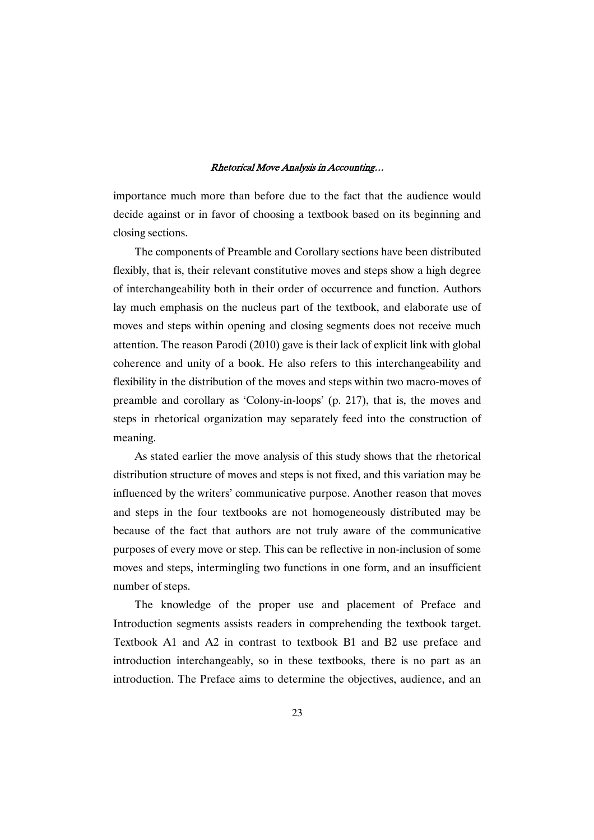importance much more than before due to the fact that the audience would decide against or in favor of choosing a textbook based on its beginning and closing sections.

The components of Preamble and Corollary sections have been distributed flexibly, that is, their relevant constitutive moves and steps show a high degree of interchangeability both in their order of occurrence and function. Authors lay much emphasis on the nucleus part of the textbook, and elaborate use of moves and steps within opening and closing segments does not receive much attention. The reason Parodi (2010) gave is their lack of explicit link with global coherence and unity of a book. He also refers to this interchangeability and flexibility in the distribution of the moves and steps within two macro-moves of preamble and corollary as 'Colony-in-loops' (p. 217), that is, the moves and steps in rhetorical organization may separately feed into the construction of meaning.

As stated earlier the move analysis of this study shows that the rhetorical distribution structure of moves and steps is not fixed, and this variation may be influenced by the writers' communicative purpose. Another reason that moves and steps in the four textbooks are not homogeneously distributed may be because of the fact that authors are not truly aware of the communicative purposes of every move or step. This can be reflective in non-inclusion of some moves and steps, intermingling two functions in one form, and an insufficient number of steps.

The knowledge of the proper use and placement of Preface and Introduction segments assists readers in comprehending the textbook target. Textbook A1 and A2 in contrast to textbook B1 and B2 use preface and introduction interchangeably, so in these textbooks, there is no part as an introduction. The Preface aims to determine the objectives, audience, and an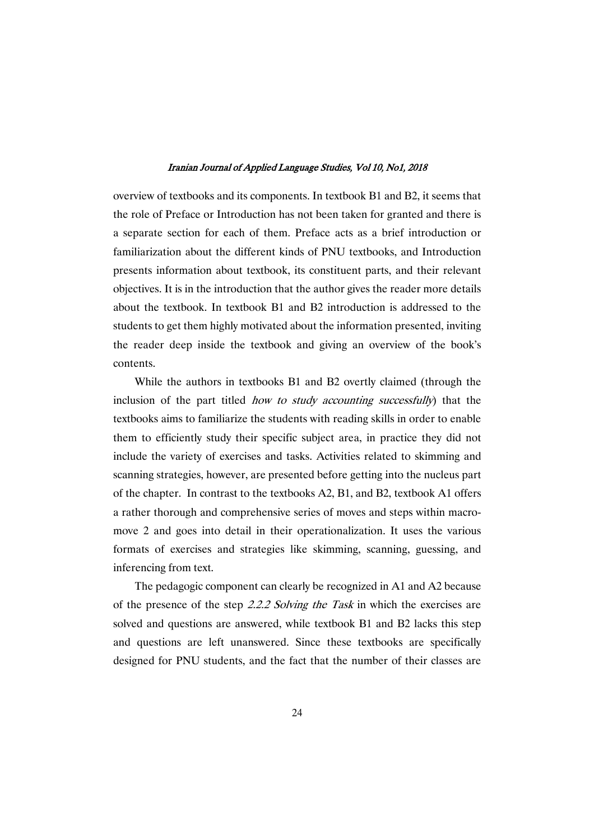overview of textbooks and its components. In textbook B1 and B2, it seems that the role of Preface or Introduction has not been taken for granted and there is a separate section for each of them. Preface acts as a brief introduction or familiarization about the different kinds of PNU textbooks, and Introduction presents information about textbook, its constituent parts, and their relevant objectives. It is in the introduction that the author gives the reader more details about the textbook. In textbook B1 and B2 introduction is addressed to the students to get them highly motivated about the information presented, inviting the reader deep inside the textbook and giving an overview of the book's contents.

While the authors in textbooks B1 and B2 overtly claimed (through the inclusion of the part titled *how to study accounting successfully* that the textbooks aims to familiarize the students with reading skills in order to enable them to efficiently study their specific subject area, in practice they did not include the variety of exercises and tasks. Activities related to skimming and scanning strategies, however, are presented before getting into the nucleus part of the chapter. In contrast to the textbooks A2, B1, and B2, textbook A1 offers a rather thorough and comprehensive series of moves and steps within macromove 2 and goes into detail in their operationalization. It uses the various formats of exercises and strategies like skimming, scanning, guessing, and inferencing from text.

The pedagogic component can clearly be recognized in A1 and A2 because of the presence of the step 2.2.2 Solving the Task in which the exercises are solved and questions are answered, while textbook B1 and B2 lacks this step and questions are left unanswered. Since these textbooks are specifically designed for PNU students, and the fact that the number of their classes are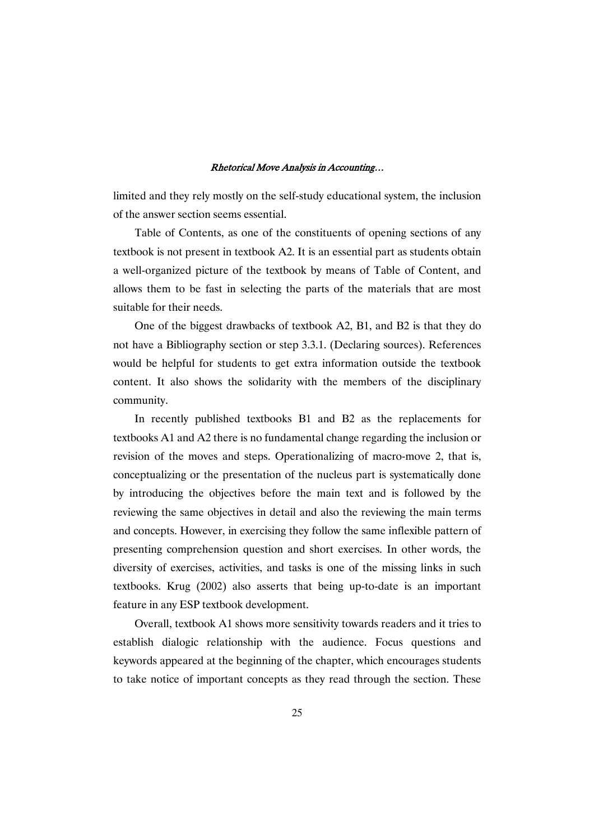limited and they rely mostly on the self-study educational system, the inclusion of the answer section seems essential.

Table of Contents, as one of the constituents of opening sections of any textbook is not present in textbook A2. It is an essential part as students obtain a well-organized picture of the textbook by means of Table of Content, and allows them to be fast in selecting the parts of the materials that are most suitable for their needs.

One of the biggest drawbacks of textbook A2, B1, and B2 is that they do not have a Bibliography section or step 3.3.1. (Declaring sources). References would be helpful for students to get extra information outside the textbook content. It also shows the solidarity with the members of the disciplinary community.

In recently published textbooks B1 and B2 as the replacements for textbooks A1 and A2 there is no fundamental change regarding the inclusion or revision of the moves and steps. Operationalizing of macro-move 2, that is, conceptualizing or the presentation of the nucleus part is systematically done by introducing the objectives before the main text and is followed by the reviewing the same objectives in detail and also the reviewing the main terms and concepts. However, in exercising they follow the same inflexible pattern of presenting comprehension question and short exercises. In other words, the diversity of exercises, activities, and tasks is one of the missing links in such textbooks. Krug (2002) also asserts that being up-to-date is an important feature in any ESP textbook development.

Overall, textbook A1 shows more sensitivity towards readers and it tries to establish dialogic relationship with the audience. Focus questions and keywords appeared at the beginning of the chapter, which encourages students to take notice of important concepts as they read through the section. These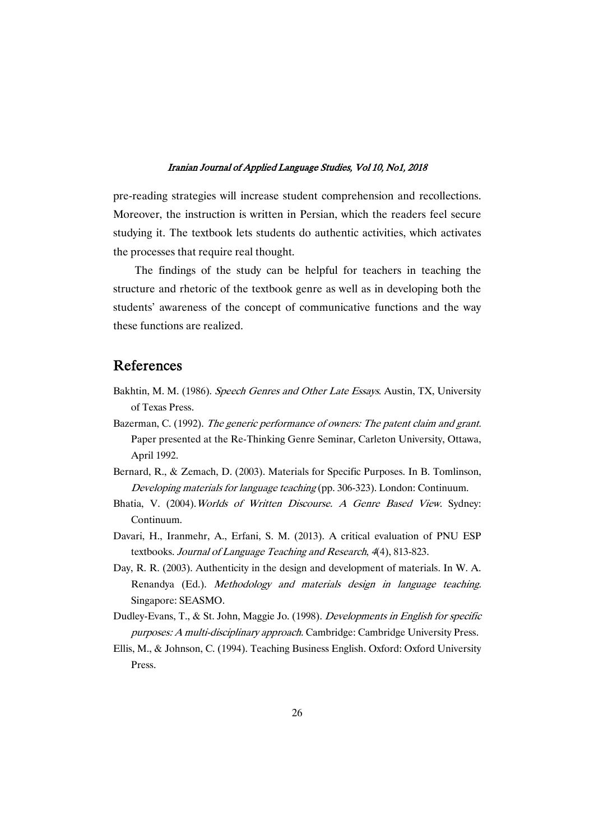pre-reading strategies will increase student comprehension and recollections. Moreover, the instruction is written in Persian, which the readers feel secure studying it. The textbook lets students do authentic activities, which activates the processes that require real thought.

The findings of the study can be helpful for teachers in teaching the structure and rhetoric of the textbook genre as well as in developing both the students' awareness of the concept of communicative functions and the way these functions are realized.

# References

- Bakhtin, M. M. (1986). Speech Genres and Other Late Essays. Austin, TX, University of Texas Press.
- Bazerman, C. (1992). The generic performance of owners: The patent claim and grant. Paper presented at the Re-Thinking Genre Seminar, Carleton University, Ottawa, April 1992.
- Bernard, R., & Zemach, D. (2003). Materials for Specific Purposes. In B. Tomlinson, Developing materials for language teaching (pp. 306-323). London: Continuum.
- Bhatia, V. (2004). Worlds of Written Discourse. A Genre Based View. Sydney: Continuum.
- Davari, H., Iranmehr, A., Erfani, S. M. (2013). A critical evaluation of PNU ESP textbooks. Journal of Language Teaching and Research, <sup>4</sup>(4), 813-823.
- Day, R. R. (2003). Authenticity in the design and development of materials. In W. A. Renandya (Ed.). Methodology and materials design in language teaching. Singapore: SEASMO.
- Dudley-Evans, T., & St. John, Maggie Jo. (1998). Developments in English for specific purposes: <sup>A</sup> multi-disciplinary approach. Cambridge: Cambridge University Press.
- Ellis, M., & Johnson, C. (1994). Teaching Business English. Oxford: Oxford University Press.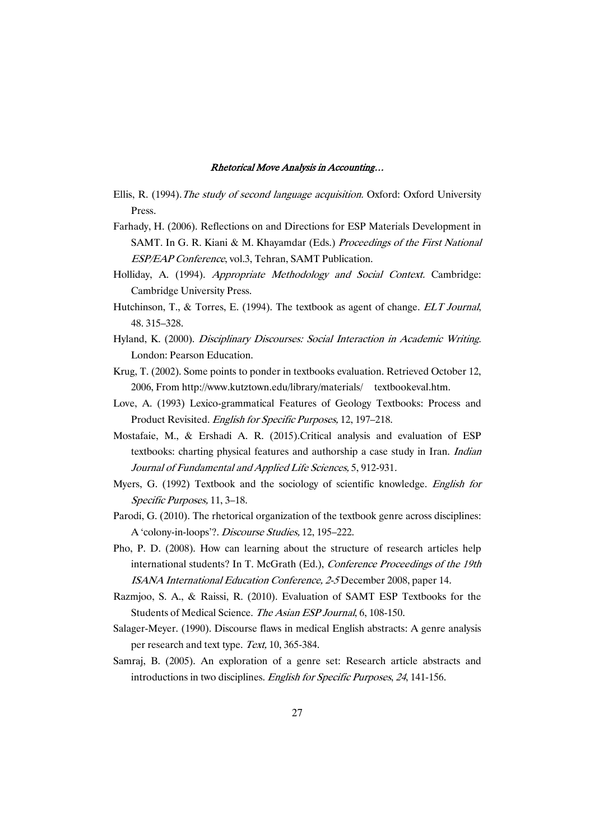- Ellis, R. (1994). The study of second language acquisition. Oxford: Oxford University Press.
- Farhady, H. (2006). Reflections on and Directions for ESP Materials Development in SAMT. In G. R. Kiani & M. Khayamdar (Eds.) Proceedings of the First National ESP/EAP Conference, vol.3, Tehran, SAMT Publication.
- Holliday, A. (1994). Appropriate Methodology and Social Context. Cambridge: Cambridge University Press.
- Hutchinson, T., & Torres, E. (1994). The textbook as agent of change. ELT Journal, 48. 315–328.
- Hyland, K. (2000). Disciplinary Discourses: Social Interaction in Academic Writing. London: Pearson Education.
- Krug, T. (2002). Some points to ponder in textbooks evaluation. Retrieved October 12, 2006, From http://www.kutztown.edu/library/materials/ textbookeval.htm.
- Love, A. (1993) Lexico-grammatical Features of Geology Textbooks: Process and Product Revisited. English for Specific Purposes, 12, 197–218.
- Mostafaie, M., & Ershadi A. R. (2015).Critical analysis and evaluation of ESP textbooks: charting physical features and authorship a case study in Iran. Indian Journal of Fundamental and Applied Life Sciences, 5, 912-931.
- Myers, G. (1992) Textbook and the sociology of scientific knowledge. English for Specific Purposes, 11, 3–18.
- Parodi, G. (2010). The rhetorical organization of the textbook genre across disciplines: A 'colony-in-loops'?. Discourse Studies, 12, 195–222.
- Pho, P. D. (2008). How can learning about the structure of research articles help international students? In T. McGrath (Ed.), Conference Proceedings of the 19th ISANA International Education Conference, 2-5 December 2008, paper 14.
- Razmjoo, S. A., & Raissi, R. (2010). Evaluation of SAMT ESP Textbooks for the Students of Medical Science. The Asian ESP Journal, 6, 108-150.
- Salager-Meyer. (1990). Discourse flaws in medical English abstracts: A genre analysis per research and text type. Text, 10, 365-384.
- Samraj, B. (2005). An exploration of a genre set: Research article abstracts and introductions in two disciplines. English for Specific Purposes, <sup>24</sup>, 141-156.